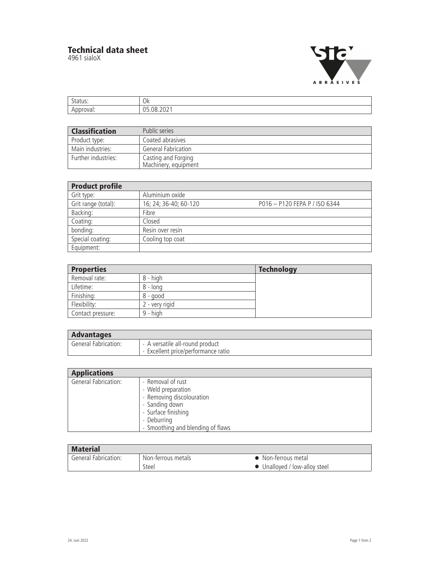## **Technical data sheet**

4961 sialoX



| . U J                               | $\cap$<br>VN. |
|-------------------------------------|---------------|
| the contract of the contract of the |               |

| <b>Classification</b> | Public series                               |
|-----------------------|---------------------------------------------|
| Product type:         | Coated abrasives                            |
| Main industries:      | General Fabrication                         |
| Further industries:   | Casting and Forging<br>Machinery, equipment |

| <b>Product profile</b> |                       |                               |  |
|------------------------|-----------------------|-------------------------------|--|
| Grit type:             | Aluminium oxide       |                               |  |
| Grit range (total):    | 16; 24; 36-40; 60-120 | P016 - P120 FEPA P / ISO 6344 |  |
| Backing:               | Fibre                 |                               |  |
| Coating:               | Closed                |                               |  |
| bonding:               | Resin over resin      |                               |  |
| Special coating:       | Cooling top coat      |                               |  |
| Equipment:             |                       |                               |  |

| <b>Properties</b> |                | <b>Technology</b> |
|-------------------|----------------|-------------------|
| Removal rate:     | 8 - high       |                   |
| Lifetime:         | 8 - long       |                   |
| Finishing:        | $8 - good$     |                   |
| Flexibility:      | 2 - very rigid |                   |
| Contact pressure: | $9 - high$     |                   |

| <b>Advantages</b>    |                                   |
|----------------------|-----------------------------------|
| General Fabrication: | - A versatile all-round product   |
|                      | Excellent price/performance ratio |

| <b>Applications</b>  |                                                                                                                                                                   |
|----------------------|-------------------------------------------------------------------------------------------------------------------------------------------------------------------|
| General Fabrication: | - Removal of rust<br>- Weld preparation<br>- Removing discolouration<br>- Sanding down<br>- Surface finishing<br>- Deburring<br>- Smoothing and blending of flaws |

| <b>Material</b>             |                    |                               |  |
|-----------------------------|--------------------|-------------------------------|--|
| <b>General Fabrication:</b> | Non-terrous metals | Mon-terrous metal             |  |
|                             | Steel              | • Unalloyed / low-alloy steel |  |